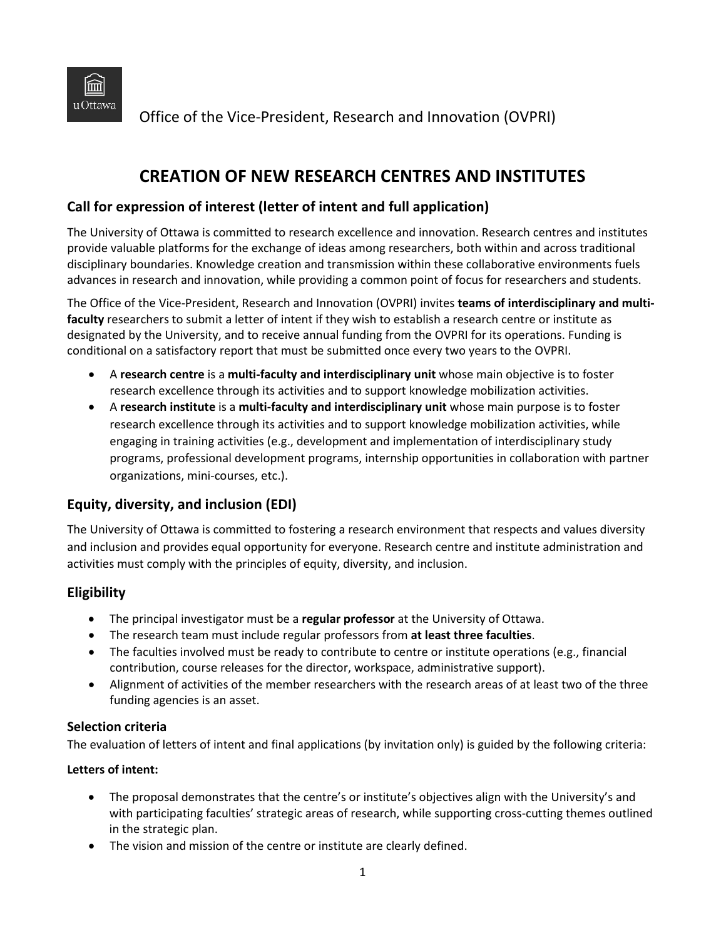

Office of the Vice-President, Research and Innovation (OVPRI)

# **CREATION OF NEW RESEARCH CENTRES AND INSTITUTES**

## **Call for expression of interest (letter of intent and full application)**

The University of Ottawa is committed to research excellence and innovation. Research centres and institutes provide valuable platforms for the exchange of ideas among researchers, both within and across traditional disciplinary boundaries. Knowledge creation and transmission within these collaborative environments fuels advances in research and innovation, while providing a common point of focus for researchers and students.

The Office of the Vice-President, Research and Innovation (OVPRI) invites **teams of interdisciplinary and multifaculty** researchers to submit a letter of intent if they wish to establish a research centre or institute as designated by the University, and to receive annual funding from the OVPRI for its operations. Funding is conditional on a satisfactory report that must be submitted once every two years to the OVPRI.

- A **research centre** is a **multi-faculty and interdisciplinary unit** whose main objective is to foster research excellence through its activities and to support knowledge mobilization activities.
- A **research institute** is a **multi-faculty and interdisciplinary unit** whose main purpose is to foster research excellence through its activities and to support knowledge mobilization activities, while engaging in training activities (e.g., development and implementation of interdisciplinary study programs, professional development programs, internship opportunities in collaboration with partner organizations, mini-courses, etc.).

## **Equity, diversity, and inclusion (EDI)**

The University of Ottawa is committed to fostering a research environment that respects and values diversity and inclusion and provides equal opportunity for everyone. Research centre and institute administration and activities must comply with the principles of equity, diversity, and inclusion.

## **Eligibility**

- The principal investigator must be a **regular professor** at the University of Ottawa.
- The research team must include regular professors from **at least three faculties**.
- The faculties involved must be ready to contribute to centre or institute operations (e.g., financial contribution, course releases for the director, workspace, administrative support).
- Alignment of activities of the member researchers with the research areas of at least two of the three funding agencies is an asset.

#### **Selection criteria**

The evaluation of letters of intent and final applications (by invitation only) is guided by the following criteria:

#### **Letters of intent:**

- The proposal demonstrates that the centre's or institute's objectives align with the University's and with participating faculties' strategic areas of research, while supporting cross-cutting themes outlined in the strategic plan.
- The vision and mission of the centre or institute are clearly defined.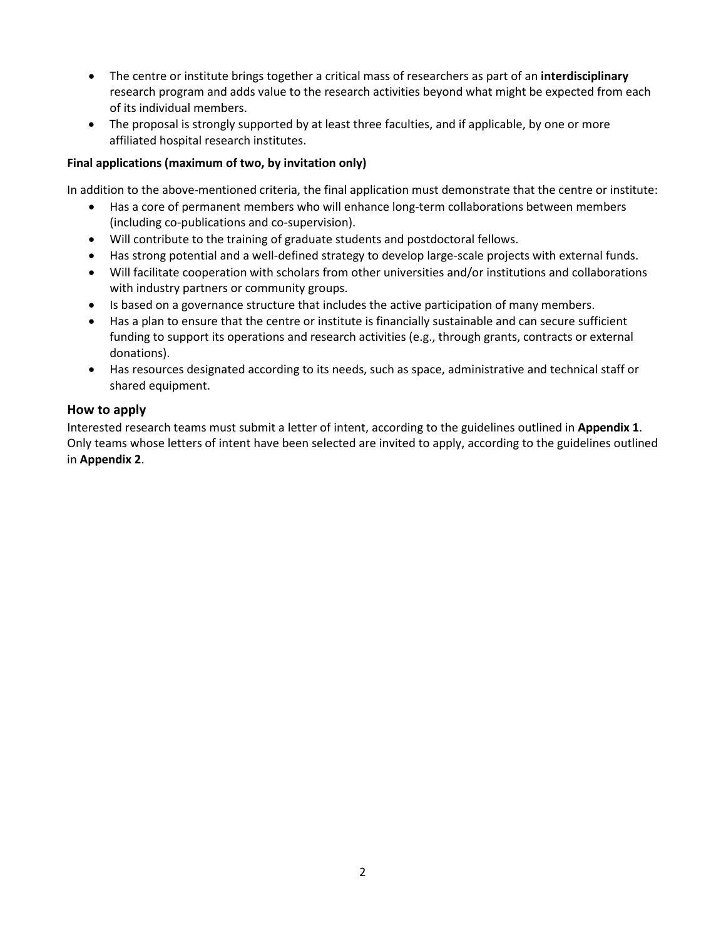- The centre or institute brings together a critical mass of researchers as part of an **interdisciplinary** research program and adds value to the research activities beyond what might be expected from each of its individual members.
- The proposal is strongly supported by at least three faculties, and if applicable, by one or more affiliated hospital research institutes.

#### **Final applications (maximum of two, by invitation only)**

In addition to the above-mentioned criteria, the final application must demonstrate that the centre or institute:

- Has a core of permanent members who will enhance long-term collaborations between members (including co-publications and co-supervision).
- Will contribute to the training of graduate students and postdoctoral fellows.
- Has strong potential and a well-defined strategy to develop large-scale projects with external funds.
- Will facilitate cooperation with scholars from other universities and/or institutions and collaborations with industry partners or community groups.
- Is based on a governance structure that includes the active participation of many members.
- Has a plan to ensure that the centre or institute is financially sustainable and can secure sufficient funding to support its operations and research activities (e.g., through grants, contracts or external donations).
- Has resources designated according to its needs, such as space, administrative and technical staff or shared equipment.

#### **How to apply**

Interested research teams must submit a letter of intent, according to the guidelines outlined in **Appendix 1**. Only teams whose letters of intent have been selected are invited to apply, according to the guidelines outlined in **Appendix 2**.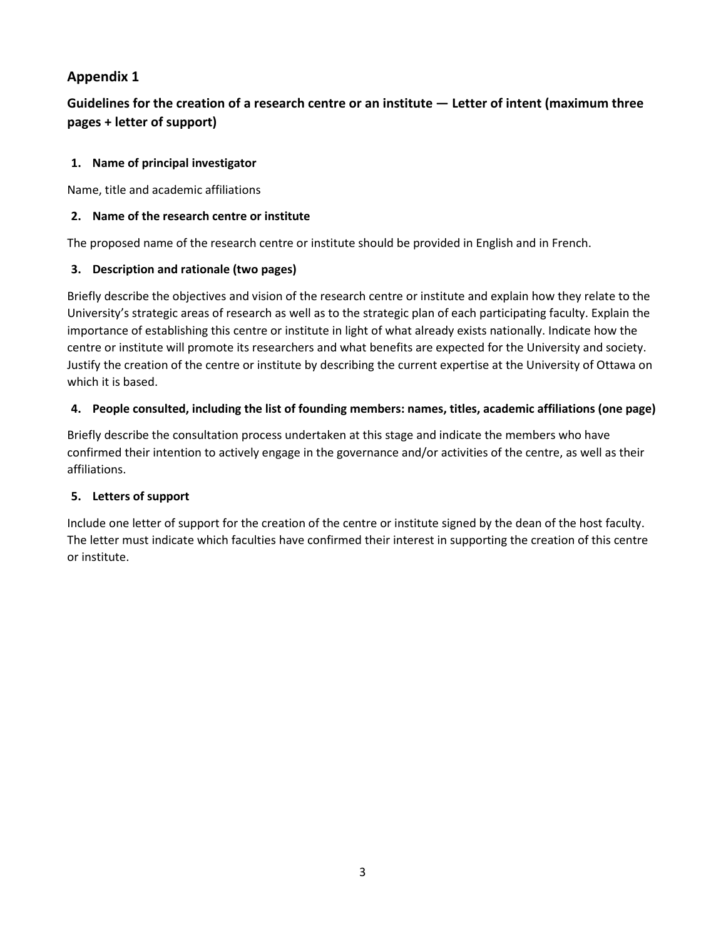## **Appendix 1**

## **Guidelines for the creation of a research centre or an institute — Letter of intent (maximum three pages + letter of support)**

### **1. Name of principal investigator**

Name, title and academic affiliations

#### **2. Name of the research centre or institute**

The proposed name of the research centre or institute should be provided in English and in French.

### **3. Description and rationale (two pages)**

Briefly describe the objectives and vision of the research centre or institute and explain how they relate to the University's strategic areas of research as well as to the strategic plan of each participating faculty. Explain the importance of establishing this centre or institute in light of what already exists nationally. Indicate how the centre or institute will promote its researchers and what benefits are expected for the University and society. Justify the creation of the centre or institute by describing the current expertise at the University of Ottawa on which it is based.

### **4. People consulted, including the list of founding members: names, titles, academic affiliations (one page)**

Briefly describe the consultation process undertaken at this stage and indicate the members who have confirmed their intention to actively engage in the governance and/or activities of the centre, as well as their affiliations.

## **5. Letters of support**

Include one letter of support for the creation of the centre or institute signed by the dean of the host faculty. The letter must indicate which faculties have confirmed their interest in supporting the creation of this centre or institute.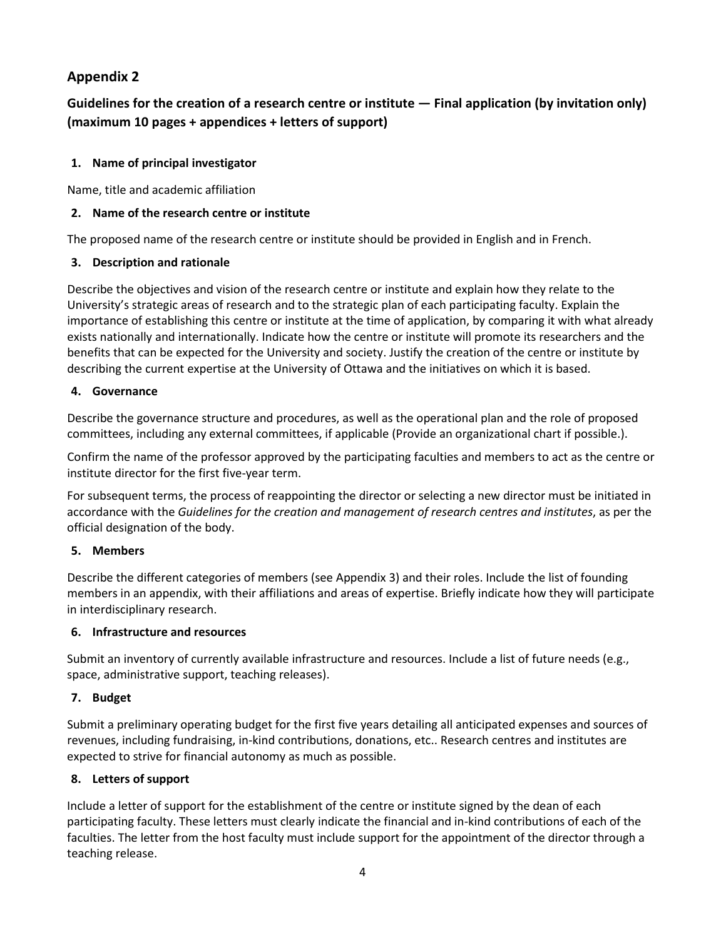## **Appendix 2**

## **Guidelines for the creation of a research centre or institute — Final application (by invitation only) (maximum 10 pages + appendices + letters of support)**

#### **1. Name of principal investigator**

Name, title and academic affiliation

#### **2. Name of the research centre or institute**

The proposed name of the research centre or institute should be provided in English and in French.

### **3. Description and rationale**

Describe the objectives and vision of the research centre or institute and explain how they relate to the University's strategic areas of research and to the strategic plan of each participating faculty. Explain the importance of establishing this centre or institute at the time of application, by comparing it with what already exists nationally and internationally. Indicate how the centre or institute will promote its researchers and the benefits that can be expected for the University and society. Justify the creation of the centre or institute by describing the current expertise at the University of Ottawa and the initiatives on which it is based.

### **4. Governance**

Describe the governance structure and procedures, as well as the operational plan and the role of proposed committees, including any external committees, if applicable (Provide an organizational chart if possible.).

Confirm the name of the professor approved by the participating faculties and members to act as the centre or institute director for the first five-year term.

For subsequent terms, the process of reappointing the director or selecting a new director must be initiated in accordance with the *Guidelines for the creation and management of research centres and institutes*, as per the official designation of the body.

## **5. Members**

Describe the different categories of members (see Appendix 3) and their roles. Include the list of founding members in an appendix, with their affiliations and areas of expertise. Briefly indicate how they will participate in interdisciplinary research.

## **6. Infrastructure and resources**

Submit an inventory of currently available infrastructure and resources. Include a list of future needs (e.g., space, administrative support, teaching releases).

## **7. Budget**

Submit a preliminary operating budget for the first five years detailing all anticipated expenses and sources of revenues, including fundraising, in-kind contributions, donations, etc.. Research centres and institutes are expected to strive for financial autonomy as much as possible.

## **8. Letters of support**

Include a letter of support for the establishment of the centre or institute signed by the dean of each participating faculty. These letters must clearly indicate the financial and in-kind contributions of each of the faculties. The letter from the host faculty must include support for the appointment of the director through a teaching release.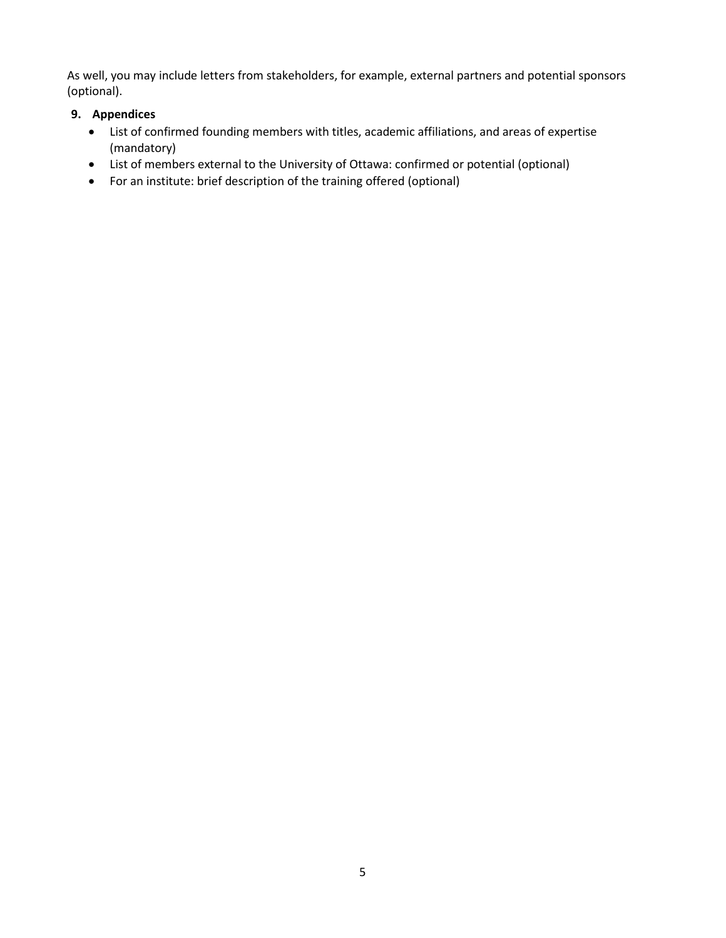As well, you may include letters from stakeholders, for example, external partners and potential sponsors (optional).

### **9. Appendices**

- List of confirmed founding members with titles, academic affiliations, and areas of expertise (mandatory)
- List of members external to the University of Ottawa: confirmed or potential (optional)
- For an institute: brief description of the training offered (optional)